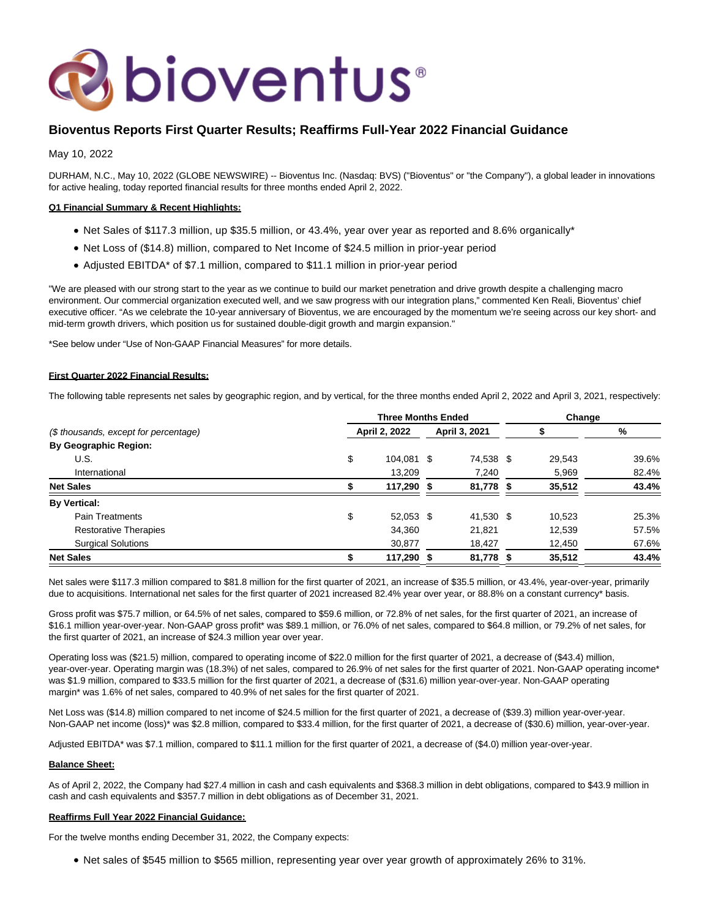

# **Bioventus Reports First Quarter Results; Reaffirms Full-Year 2022 Financial Guidance**

May 10, 2022

DURHAM, N.C., May 10, 2022 (GLOBE NEWSWIRE) -- Bioventus Inc. (Nasdaq: BVS) ("Bioventus" or "the Company"), a global leader in innovations for active healing, today reported financial results for three months ended April 2, 2022.

# **Q1 Financial Summary & Recent Highlights:**

- Net Sales of \$117.3 million, up \$35.5 million, or 43.4%, year over year as reported and 8.6% organically\*
- Net Loss of (\$14.8) million, compared to Net Income of \$24.5 million in prior-year period
- Adjusted EBITDA\* of \$7.1 million, compared to \$11.1 million in prior-year period

"We are pleased with our strong start to the year as we continue to build our market penetration and drive growth despite a challenging macro environment. Our commercial organization executed well, and we saw progress with our integration plans," commented Ken Reali, Bioventus' chief executive officer. "As we celebrate the 10-year anniversary of Bioventus, we are encouraged by the momentum we're seeing across our key short- and mid-term growth drivers, which position us for sustained double-digit growth and margin expansion."

\*See below under "Use of Non-GAAP Financial Measures" for more details.

### **First Quarter 2022 Financial Results:**

The following table represents net sales by geographic region, and by vertical, for the three months ended April 2, 2022 and April 3, 2021, respectively:

|                                       | <b>Three Months Ended</b> | Change        |           |  |        |       |
|---------------------------------------|---------------------------|---------------|-----------|--|--------|-------|
| (\$ thousands, except for percentage) | April 2, 2022             | April 3, 2021 |           |  |        | %     |
| <b>By Geographic Region:</b>          |                           |               |           |  |        |       |
| U.S.                                  | \$<br>104,081 \$          |               | 74,538 \$ |  | 29,543 | 39.6% |
| International                         | 13,209                    |               | 7,240     |  | 5,969  | 82.4% |
| <b>Net Sales</b>                      | 117,290 \$                |               | 81,778 \$ |  | 35,512 | 43.4% |
| <b>By Vertical:</b>                   |                           |               |           |  |        |       |
| <b>Pain Treatments</b>                | \$<br>$52,053$ \$         |               | 41,530 \$ |  | 10.523 | 25.3% |
| <b>Restorative Therapies</b>          | 34,360                    |               | 21,821    |  | 12,539 | 57.5% |
| <b>Surgical Solutions</b>             | 30,877                    |               | 18,427    |  | 12,450 | 67.6% |
| <b>Net Sales</b>                      | 117,290 \$                |               | 81,778 \$ |  | 35,512 | 43.4% |

Net sales were \$117.3 million compared to \$81.8 million for the first quarter of 2021, an increase of \$35.5 million, or 43.4%, year-over-year, primarily due to acquisitions. International net sales for the first quarter of 2021 increased 82.4% year over year, or 88.8% on a constant currency\* basis.

Gross profit was \$75.7 million, or 64.5% of net sales, compared to \$59.6 million, or 72.8% of net sales, for the first quarter of 2021, an increase of \$16.1 million year-over-year. Non-GAAP gross profit\* was \$89.1 million, or 76.0% of net sales, compared to \$64.8 million, or 79.2% of net sales, for the first quarter of 2021, an increase of \$24.3 million year over year.

Operating loss was (\$21.5) million, compared to operating income of \$22.0 million for the first quarter of 2021, a decrease of (\$43.4) million, year-over-year. Operating margin was (18.3%) of net sales, compared to 26.9% of net sales for the first quarter of 2021. Non-GAAP operating income\* was \$1.9 million, compared to \$33.5 million for the first quarter of 2021, a decrease of (\$31.6) million year-over-year. Non-GAAP operating margin\* was 1.6% of net sales, compared to 40.9% of net sales for the first quarter of 2021.

Net Loss was (\$14.8) million compared to net income of \$24.5 million for the first quarter of 2021, a decrease of (\$39.3) million year-over-year. Non-GAAP net income (loss)\* was \$2.8 million, compared to \$33.4 million, for the first quarter of 2021, a decrease of (\$30.6) million, year-over-year.

Adjusted EBITDA\* was \$7.1 million, compared to \$11.1 million for the first quarter of 2021, a decrease of (\$4.0) million year-over-year.

# **Balance Sheet:**

As of April 2, 2022, the Company had \$27.4 million in cash and cash equivalents and \$368.3 million in debt obligations, compared to \$43.9 million in cash and cash equivalents and \$357.7 million in debt obligations as of December 31, 2021.

# **Reaffirms Full Year 2022 Financial Guidance:**

For the twelve months ending December 31, 2022, the Company expects:

Net sales of \$545 million to \$565 million, representing year over year growth of approximately 26% to 31%.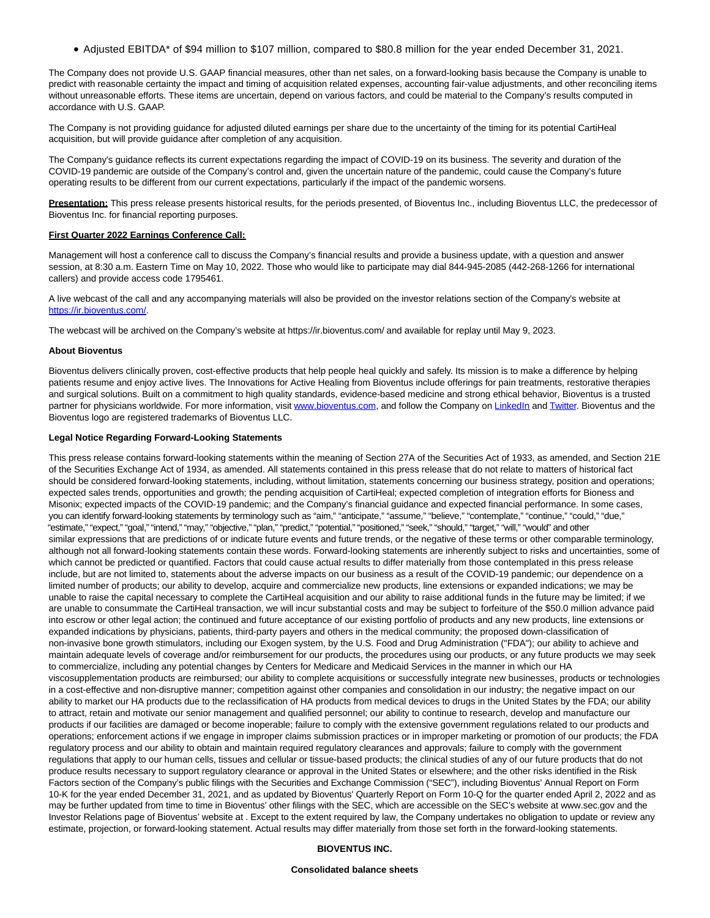Adjusted EBITDA\* of \$94 million to \$107 million, compared to \$80.8 million for the year ended December 31, 2021.

The Company does not provide U.S. GAAP financial measures, other than net sales, on a forward-looking basis because the Company is unable to predict with reasonable certainty the impact and timing of acquisition related expenses, accounting fair-value adjustments, and other reconciling items without unreasonable efforts. These items are uncertain, depend on various factors, and could be material to the Company's results computed in accordance with U.S. GAAP.

The Company is not providing guidance for adjusted diluted earnings per share due to the uncertainty of the timing for its potential CartiHeal acquisition, but will provide guidance after completion of any acquisition.

The Company's guidance reflects its current expectations regarding the impact of COVID-19 on its business. The severity and duration of the COVID-19 pandemic are outside of the Company's control and, given the uncertain nature of the pandemic, could cause the Company's future operating results to be different from our current expectations, particularly if the impact of the pandemic worsens.

**Presentation:** This press release presents historical results, for the periods presented, of Bioventus Inc., including Bioventus LLC, the predecessor of Bioventus Inc. for financial reporting purposes.

### **First Quarter 2022 Earnings Conference Call:**

Management will host a conference call to discuss the Company's financial results and provide a business update, with a question and answer session, at 8:30 a.m. Eastern Time on May 10, 2022. Those who would like to participate may dial 844-945-2085 (442-268-1266 for international callers) and provide access code 1795461.

A live webcast of the call and any accompanying materials will also be provided on the investor relations section of the Company's website at [https://ir.bioventus.com/.](https://www.globenewswire.com/Tracker?data=-ShHOVv8wMIBDcrra-txE0M-DnfVH4JY__Nzgqw_Wju9bM-VmLSKS6EhVCkoucKxrM-x8h3Uac1bUYj-Bpi031hulr-yOMdkIC1hLo1bECc=)

The webcast will be archived on the Company's website at https://ir.bioventus.com/ and available for replay until May 9, 2023.

#### **About Bioventus**

Bioventus delivers clinically proven, cost-effective products that help people heal quickly and safely. Its mission is to make a difference by helping patients resume and enjoy active lives. The Innovations for Active Healing from Bioventus include offerings for pain treatments, restorative therapies and surgical solutions. Built on a commitment to high quality standards, evidence-based medicine and strong ethical behavior, Bioventus is a trusted partner for physicians worldwide. For more information, visit [www.bioventus.com,](https://www.globenewswire.com/Tracker?data=cUn6rVMGUjt8XeGQYK5TYSsohXkQa5DZwa0m_kYwghmd3f_areabTiCCPEKPDUWohiJG5WLLh7B4DNLfu_5MIQ==) and follow the Company on [LinkedIn a](https://www.globenewswire.com/Tracker?data=JF5wI14gtZCmoZnFuTpgOEKVVqAY75HLX05g-6p14mwDKQb2xQhaopX0sG4GY4xEUibCOEuJd693sNocz42DtnEKHf5BJ8f0k_bswYs0teo=)n[d Twitter.](https://www.globenewswire.com/Tracker?data=5D4Ios1fYCAdts7braRkfFJYbZnDT8AJlQLyC8LNEb2Gm1lR6VN3286WaY_bqGDaCUKqfVw-cQ1VxRfO36iyrQl8N_RgTRYoMcrqqLJQllU=) Bioventus and the Bioventus logo are registered trademarks of Bioventus LLC.

### **Legal Notice Regarding Forward-Looking Statements**

This press release contains forward-looking statements within the meaning of Section 27A of the Securities Act of 1933, as amended, and Section 21E of the Securities Exchange Act of 1934, as amended. All statements contained in this press release that do not relate to matters of historical fact should be considered forward-looking statements, including, without limitation, statements concerning our business strategy, position and operations; expected sales trends, opportunities and growth; the pending acquisition of CartiHeal; expected completion of integration efforts for Bioness and Misonix; expected impacts of the COVID-19 pandemic; and the Company's financial guidance and expected financial performance. In some cases, you can identify forward-looking statements by terminology such as "aim," "anticipate," "assume," "believe," "contemplate," "continue," "could," "due," "estimate," "expect," "goal," "intend," "may," "objective," "plan," "predict," "potential," "positioned," "seek," "should," "target," "will," "would" and other similar expressions that are predictions of or indicate future events and future trends, or the negative of these terms or other comparable terminology, although not all forward-looking statements contain these words. Forward-looking statements are inherently subject to risks and uncertainties, some of which cannot be predicted or quantified. Factors that could cause actual results to differ materially from those contemplated in this press release include, but are not limited to, statements about the adverse impacts on our business as a result of the COVID-19 pandemic; our dependence on a limited number of products; our ability to develop, acquire and commercialize new products, line extensions or expanded indications; we may be unable to raise the capital necessary to complete the CartiHeal acquisition and our ability to raise additional funds in the future may be limited; if we are unable to consummate the CartiHeal transaction, we will incur substantial costs and may be subject to forfeiture of the \$50.0 million advance paid into escrow or other legal action; the continued and future acceptance of our existing portfolio of products and any new products, line extensions or expanded indications by physicians, patients, third-party payers and others in the medical community; the proposed down-classification of non-invasive bone growth stimulators, including our Exogen system, by the U.S. Food and Drug Administration ("FDA"); our ability to achieve and maintain adequate levels of coverage and/or reimbursement for our products, the procedures using our products, or any future products we may seek to commercialize, including any potential changes by Centers for Medicare and Medicaid Services in the manner in which our HA viscosupplementation products are reimbursed; our ability to complete acquisitions or successfully integrate new businesses, products or technologies in a cost-effective and non-disruptive manner; competition against other companies and consolidation in our industry; the negative impact on our ability to market our HA products due to the reclassification of HA products from medical devices to drugs in the United States by the FDA; our ability to attract, retain and motivate our senior management and qualified personnel; our ability to continue to research, develop and manufacture our products if our facilities are damaged or become inoperable; failure to comply with the extensive government regulations related to our products and operations; enforcement actions if we engage in improper claims submission practices or in improper marketing or promotion of our products; the FDA regulatory process and our ability to obtain and maintain required regulatory clearances and approvals; failure to comply with the government regulations that apply to our human cells, tissues and cellular or tissue-based products; the clinical studies of any of our future products that do not produce results necessary to support regulatory clearance or approval in the United States or elsewhere; and the other risks identified in the Risk Factors section of the Company's public filings with the Securities and Exchange Commission ("SEC"), including Bioventus' Annual Report on Form 10-K for the year ended December 31, 2021, and as updated by Bioventus' Quarterly Report on Form 10-Q for the quarter ended April 2, 2022 and as may be further updated from time to time in Bioventus' other filings with the SEC, which are accessible on the SEC's website at www.sec.gov and the Investor Relations page of Bioventus' website at . Except to the extent required by law, the Company undertakes no obligation to update or review any estimate, projection, or forward-looking statement. Actual results may differ materially from those set forth in the forward-looking statements.

**BIOVENTUS INC.**

**Consolidated balance sheets**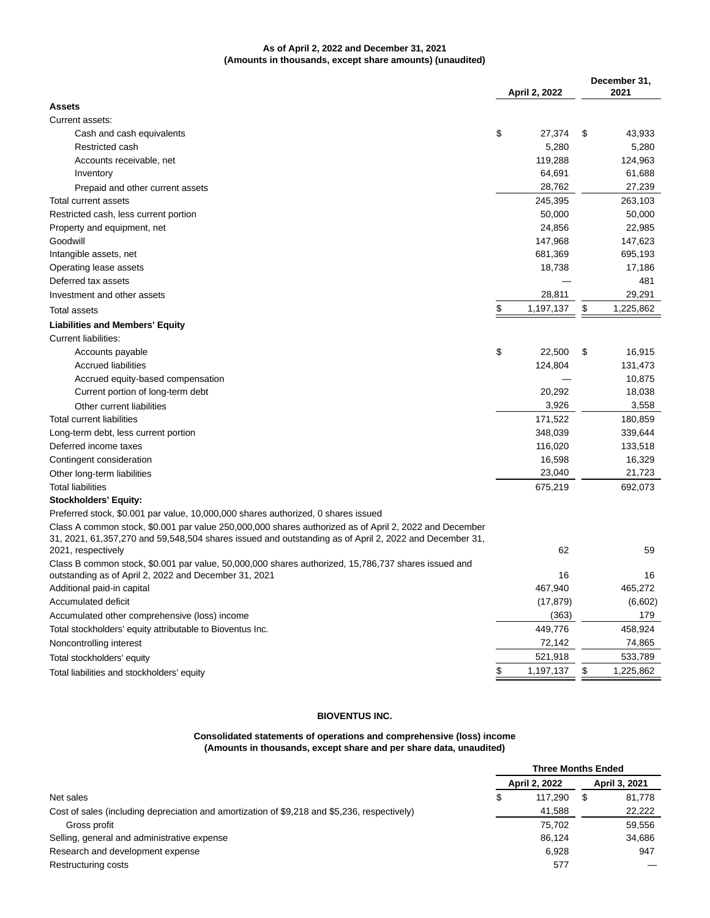# **As of April 2, 2022 and December 31, 2021 (Amounts in thousands, except share amounts) (unaudited)**

|                                                                                                        |                 | December 31,    |
|--------------------------------------------------------------------------------------------------------|-----------------|-----------------|
|                                                                                                        | April 2, 2022   | 2021            |
| <b>Assets</b>                                                                                          |                 |                 |
| Current assets:                                                                                        |                 |                 |
| Cash and cash equivalents                                                                              | \$<br>27,374    | \$<br>43,933    |
| Restricted cash                                                                                        | 5,280           | 5,280           |
| Accounts receivable, net                                                                               | 119,288         | 124,963         |
| Inventory                                                                                              | 64,691          | 61,688          |
| Prepaid and other current assets                                                                       | 28,762          | 27,239          |
| Total current assets                                                                                   | 245,395         | 263,103         |
| Restricted cash, less current portion                                                                  | 50,000          | 50,000          |
| Property and equipment, net                                                                            | 24,856          | 22,985          |
| Goodwill                                                                                               | 147,968         | 147,623         |
| Intangible assets, net                                                                                 | 681,369         | 695,193         |
| Operating lease assets                                                                                 | 18,738          | 17,186          |
| Deferred tax assets                                                                                    |                 | 481             |
| Investment and other assets                                                                            | 28,811          | 29,291          |
| <b>Total assets</b>                                                                                    | \$<br>1,197,137 | \$<br>1,225,862 |
| <b>Liabilities and Members' Equity</b>                                                                 |                 |                 |
| Current liabilities:                                                                                   |                 |                 |
| Accounts payable                                                                                       | \$<br>22,500    | \$<br>16,915    |
| <b>Accrued liabilities</b>                                                                             | 124,804         | 131,473         |
| Accrued equity-based compensation                                                                      |                 | 10,875          |
| Current portion of long-term debt                                                                      | 20,292          | 18,038          |
| Other current liabilities                                                                              | 3,926           | 3,558           |
| <b>Total current liabilities</b>                                                                       | 171,522         | 180,859         |
| Long-term debt, less current portion                                                                   | 348,039         | 339,644         |
| Deferred income taxes                                                                                  | 116,020         | 133,518         |
| Contingent consideration                                                                               | 16,598          | 16,329          |
| Other long-term liabilities                                                                            | 23,040          | 21,723          |
| <b>Total liabilities</b>                                                                               | 675,219         | 692,073         |
| <b>Stockholders' Equity:</b>                                                                           |                 |                 |
| Preferred stock, \$0.001 par value, 10,000,000 shares authorized, 0 shares issued                      |                 |                 |
| Class A common stock, \$0.001 par value 250,000,000 shares authorized as of April 2, 2022 and December |                 |                 |
| 31, 2021, 61,357,270 and 59,548,504 shares issued and outstanding as of April 2, 2022 and December 31, |                 |                 |
| 2021, respectively                                                                                     | 62              | 59              |
| Class B common stock, \$0.001 par value, 50,000,000 shares authorized, 15,786,737 shares issued and    |                 |                 |
| outstanding as of April 2, 2022 and December 31, 2021                                                  | 16              | 16              |
| Additional paid-in capital                                                                             | 467,940         | 465,272         |
| Accumulated deficit                                                                                    | (17, 879)       | (6,602)         |
| Accumulated other comprehensive (loss) income                                                          | (363)           | 179             |
| Total stockholders' equity attributable to Bioventus Inc.                                              | 449,776         | 458,924         |
| Noncontrolling interest                                                                                | 72,142          | 74,865          |
| Total stockholders' equity                                                                             | 521,918         | 533,789         |
| Total liabilities and stockholders' equity                                                             | \$<br>1,197,137 | \$<br>1,225,862 |
|                                                                                                        |                 |                 |

# **BIOVENTUS INC.**

# **Consolidated statements of operations and comprehensive (loss) income (Amounts in thousands, except share and per share data, unaudited)**

|                                                                                              | <b>Three Months Ended</b> |               |               |        |
|----------------------------------------------------------------------------------------------|---------------------------|---------------|---------------|--------|
|                                                                                              |                           | April 2, 2022 | April 3, 2021 |        |
| Net sales                                                                                    |                           | 117.290       | S             | 81.778 |
| Cost of sales (including depreciation and amortization of \$9,218 and \$5,236, respectively) |                           | 41,588        |               | 22,222 |
| Gross profit                                                                                 |                           | 75.702        |               | 59.556 |
| Selling, general and administrative expense                                                  |                           | 86.124        |               | 34.686 |
| Research and development expense                                                             |                           | 6.928         |               | 947    |
| Restructuring costs                                                                          |                           | 577           |               |        |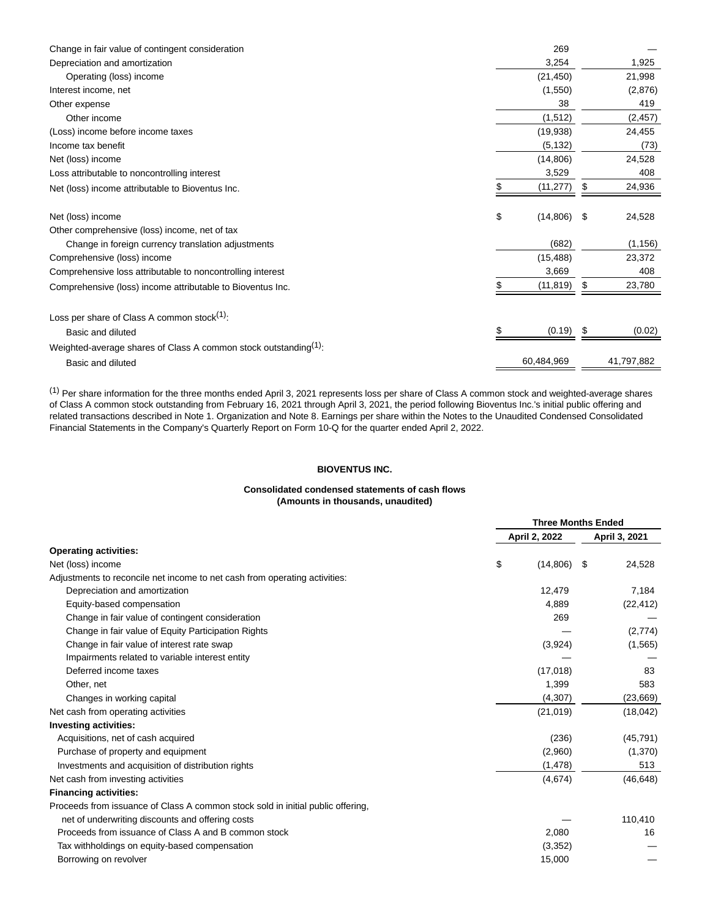| Change in fair value of contingent consideration                             | 269             |    |            |
|------------------------------------------------------------------------------|-----------------|----|------------|
| Depreciation and amortization                                                | 3,254           |    | 1,925      |
| Operating (loss) income                                                      | (21, 450)       |    | 21,998     |
| Interest income, net                                                         | (1,550)         |    | (2,876)    |
| Other expense                                                                | 38              |    | 419        |
| Other income                                                                 | (1, 512)        |    | (2, 457)   |
| (Loss) income before income taxes                                            | (19,938)        |    | 24,455     |
| Income tax benefit                                                           | (5, 132)        |    | (73)       |
| Net (loss) income                                                            | (14, 806)       |    | 24,528     |
| Loss attributable to noncontrolling interest                                 | 3,529           |    | 408        |
| Net (loss) income attributable to Bioventus Inc.                             | (11, 277)       | \$ | 24,936     |
| Net (loss) income                                                            | \$<br>(14, 806) | S  | 24,528     |
| Other comprehensive (loss) income, net of tax                                |                 |    |            |
| Change in foreign currency translation adjustments                           | (682)           |    | (1, 156)   |
| Comprehensive (loss) income                                                  | (15, 488)       |    | 23,372     |
| Comprehensive loss attributable to noncontrolling interest                   | 3,669           |    | 408        |
| Comprehensive (loss) income attributable to Bioventus Inc.                   | (11, 819)       | \$ | 23,780     |
| Loss per share of Class A common stock $(1)$ .                               |                 |    |            |
| Basic and diluted                                                            | (0.19)          | S  | (0.02)     |
| Weighted-average shares of Class A common stock outstanding <sup>(1)</sup> : |                 |    |            |
| Basic and diluted                                                            | 60,484,969      |    | 41,797,882 |

(1) Per share information for the three months ended April 3, 2021 represents loss per share of Class A common stock and weighted-average shares of Class A common stock outstanding from February 16, 2021 through April 3, 2021, the period following Bioventus Inc.'s initial public offering and related transactions described in Note 1. Organization and Note 8. Earnings per share within the Notes to the Unaudited Condensed Consolidated Financial Statements in the Company's Quarterly Report on Form 10-Q for the quarter ended April 2, 2022.

# **BIOVENTUS INC.**

# **Consolidated condensed statements of cash flows (Amounts in thousands, unaudited)**

|                                                                                 |    | <b>Three Months Ended</b> |    |               |
|---------------------------------------------------------------------------------|----|---------------------------|----|---------------|
|                                                                                 |    | April 2, 2022             |    | April 3, 2021 |
| <b>Operating activities:</b>                                                    |    |                           |    |               |
| Net (loss) income                                                               | \$ | (14,806)                  | \$ | 24,528        |
| Adjustments to reconcile net income to net cash from operating activities:      |    |                           |    |               |
| Depreciation and amortization                                                   |    | 12,479                    |    | 7,184         |
| Equity-based compensation                                                       |    | 4,889                     |    | (22, 412)     |
| Change in fair value of contingent consideration                                |    | 269                       |    |               |
| Change in fair value of Equity Participation Rights                             |    |                           |    | (2,774)       |
| Change in fair value of interest rate swap                                      |    | (3,924)                   |    | (1,565)       |
| Impairments related to variable interest entity                                 |    |                           |    |               |
| Deferred income taxes                                                           |    | (17,018)                  |    | 83            |
| Other, net                                                                      |    | 1,399                     |    | 583           |
| Changes in working capital                                                      |    | (4,307)                   |    | (23,669)      |
| Net cash from operating activities                                              |    | (21, 019)                 |    | (18,042)      |
| <b>Investing activities:</b>                                                    |    |                           |    |               |
| Acquisitions, net of cash acquired                                              |    | (236)                     |    | (45, 791)     |
| Purchase of property and equipment                                              |    | (2,960)                   |    | (1,370)       |
| Investments and acquisition of distribution rights                              |    | (1, 478)                  |    | 513           |
| Net cash from investing activities                                              |    | (4,674)                   |    | (46, 648)     |
| <b>Financing activities:</b>                                                    |    |                           |    |               |
| Proceeds from issuance of Class A common stock sold in initial public offering, |    |                           |    |               |
| net of underwriting discounts and offering costs                                |    |                           |    | 110,410       |
| Proceeds from issuance of Class A and B common stock                            |    | 2,080                     |    | 16            |
| Tax withholdings on equity-based compensation                                   |    | (3,352)                   |    |               |
| Borrowing on revolver                                                           |    | 15,000                    |    |               |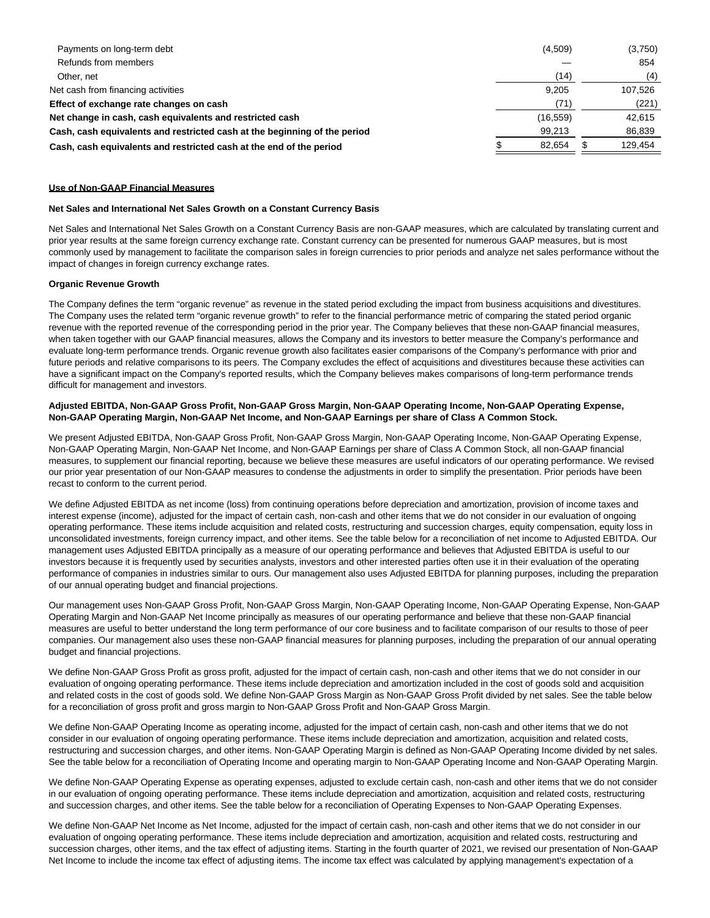| Payments on long-term debt                                                | (4,509)   | (3,750) |
|---------------------------------------------------------------------------|-----------|---------|
| Refunds from members                                                      |           | 854     |
| Other, net                                                                | (14)      | (4)     |
| Net cash from financing activities                                        | 9.205     | 107,526 |
| Effect of exchange rate changes on cash                                   | (71)      | (221)   |
| Net change in cash, cash equivalents and restricted cash                  | (16, 559) | 42.615  |
| Cash, cash equivalents and restricted cash at the beginning of the period | 99.213    | 86,839  |
| Cash, cash equivalents and restricted cash at the end of the period       | 82,654    | 129.454 |
|                                                                           |           |         |

## **Use of Non-GAAP Financial Measures**

# **Net Sales and International Net Sales Growth on a Constant Currency Basis**

Net Sales and International Net Sales Growth on a Constant Currency Basis are non-GAAP measures, which are calculated by translating current and prior year results at the same foreign currency exchange rate. Constant currency can be presented for numerous GAAP measures, but is most commonly used by management to facilitate the comparison sales in foreign currencies to prior periods and analyze net sales performance without the impact of changes in foreign currency exchange rates.

### **Organic Revenue Growth**

The Company defines the term "organic revenue" as revenue in the stated period excluding the impact from business acquisitions and divestitures. The Company uses the related term "organic revenue growth" to refer to the financial performance metric of comparing the stated period organic revenue with the reported revenue of the corresponding period in the prior year. The Company believes that these non-GAAP financial measures, when taken together with our GAAP financial measures, allows the Company and its investors to better measure the Company's performance and evaluate long-term performance trends. Organic revenue growth also facilitates easier comparisons of the Company's performance with prior and future periods and relative comparisons to its peers. The Company excludes the effect of acquisitions and divestitures because these activities can have a significant impact on the Company's reported results, which the Company believes makes comparisons of long-term performance trends difficult for management and investors.

# **Adjusted EBITDA, Non-GAAP Gross Profit, Non-GAAP Gross Margin, Non-GAAP Operating Income, Non-GAAP Operating Expense, Non-GAAP Operating Margin, Non-GAAP Net Income, and Non-GAAP Earnings per share of Class A Common Stock.**

We present Adjusted EBITDA, Non-GAAP Gross Profit, Non-GAAP Gross Margin, Non-GAAP Operating Income, Non-GAAP Operating Expense, Non-GAAP Operating Margin, Non-GAAP Net Income, and Non-GAAP Earnings per share of Class A Common Stock, all non-GAAP financial measures, to supplement our financial reporting, because we believe these measures are useful indicators of our operating performance. We revised our prior year presentation of our Non-GAAP measures to condense the adjustments in order to simplify the presentation. Prior periods have been recast to conform to the current period.

We define Adjusted EBITDA as net income (loss) from continuing operations before depreciation and amortization, provision of income taxes and interest expense (income), adjusted for the impact of certain cash, non-cash and other items that we do not consider in our evaluation of ongoing operating performance. These items include acquisition and related costs, restructuring and succession charges, equity compensation, equity loss in unconsolidated investments, foreign currency impact, and other items. See the table below for a reconciliation of net income to Adjusted EBITDA. Our management uses Adjusted EBITDA principally as a measure of our operating performance and believes that Adjusted EBITDA is useful to our investors because it is frequently used by securities analysts, investors and other interested parties often use it in their evaluation of the operating performance of companies in industries similar to ours. Our management also uses Adjusted EBITDA for planning purposes, including the preparation of our annual operating budget and financial projections.

Our management uses Non-GAAP Gross Profit, Non-GAAP Gross Margin, Non-GAAP Operating Income, Non-GAAP Operating Expense, Non-GAAP Operating Margin and Non-GAAP Net Income principally as measures of our operating performance and believe that these non-GAAP financial measures are useful to better understand the long term performance of our core business and to facilitate comparison of our results to those of peer companies. Our management also uses these non-GAAP financial measures for planning purposes, including the preparation of our annual operating budget and financial projections.

We define Non-GAAP Gross Profit as gross profit, adjusted for the impact of certain cash, non-cash and other items that we do not consider in our evaluation of ongoing operating performance. These items include depreciation and amortization included in the cost of goods sold and acquisition and related costs in the cost of goods sold. We define Non-GAAP Gross Margin as Non-GAAP Gross Profit divided by net sales. See the table below for a reconciliation of gross profit and gross margin to Non-GAAP Gross Profit and Non-GAAP Gross Margin.

We define Non-GAAP Operating Income as operating income, adjusted for the impact of certain cash, non-cash and other items that we do not consider in our evaluation of ongoing operating performance. These items include depreciation and amortization, acquisition and related costs, restructuring and succession charges, and other items. Non-GAAP Operating Margin is defined as Non-GAAP Operating Income divided by net sales. See the table below for a reconciliation of Operating Income and operating margin to Non-GAAP Operating Income and Non-GAAP Operating Margin.

We define Non-GAAP Operating Expense as operating expenses, adjusted to exclude certain cash, non-cash and other items that we do not consider in our evaluation of ongoing operating performance. These items include depreciation and amortization, acquisition and related costs, restructuring and succession charges, and other items. See the table below for a reconciliation of Operating Expenses to Non-GAAP Operating Expenses.

We define Non-GAAP Net Income as Net Income, adjusted for the impact of certain cash, non-cash and other items that we do not consider in our evaluation of ongoing operating performance. These items include depreciation and amortization, acquisition and related costs, restructuring and succession charges, other items, and the tax effect of adjusting items. Starting in the fourth quarter of 2021, we revised our presentation of Non-GAAP Net Income to include the income tax effect of adjusting items. The income tax effect was calculated by applying management's expectation of a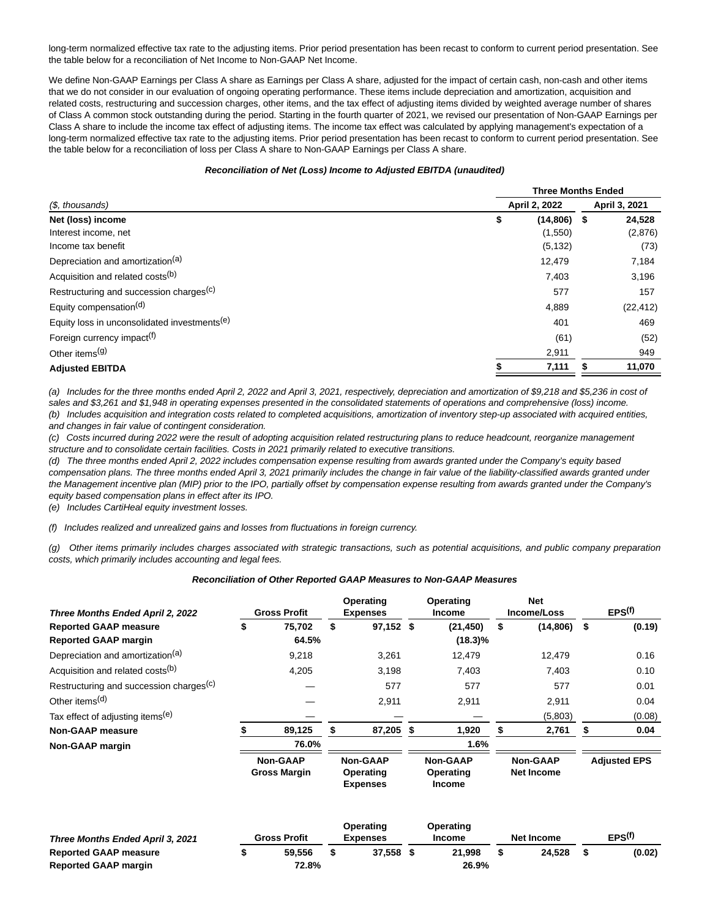long-term normalized effective tax rate to the adjusting items. Prior period presentation has been recast to conform to current period presentation. See the table below for a reconciliation of Net Income to Non-GAAP Net Income.

We define Non-GAAP Earnings per Class A share as Earnings per Class A share, adjusted for the impact of certain cash, non-cash and other items that we do not consider in our evaluation of ongoing operating performance. These items include depreciation and amortization, acquisition and related costs, restructuring and succession charges, other items, and the tax effect of adjusting items divided by weighted average number of shares of Class A common stock outstanding during the period. Starting in the fourth quarter of 2021, we revised our presentation of Non-GAAP Earnings per Class A share to include the income tax effect of adjusting items. The income tax effect was calculated by applying management's expectation of a long-term normalized effective tax rate to the adjusting items. Prior period presentation has been recast to conform to current period presentation. See the table below for a reconciliation of loss per Class A share to Non-GAAP Earnings per Class A share.

### **Reconciliation of Net (Loss) Income to Adjusted EBITDA (unaudited)**

|                                                          | <b>Three Months Ended</b> |    |           |  |  |  |  |
|----------------------------------------------------------|---------------------------|----|-----------|--|--|--|--|
| (\$, thousands)                                          | April 2, 2022             |    |           |  |  |  |  |
| Net (loss) income                                        | \$<br>(14, 806)           | \$ | 24,528    |  |  |  |  |
| Interest income, net                                     | (1,550)                   |    | (2,876)   |  |  |  |  |
| Income tax benefit                                       | (5, 132)                  |    | (73)      |  |  |  |  |
| Depreciation and amortization <sup>(a)</sup>             | 12,479                    |    | 7,184     |  |  |  |  |
| Acquisition and related costs <sup>(b)</sup>             | 7,403                     |    | 3,196     |  |  |  |  |
| Restructuring and succession charges <sup>(c)</sup>      | 577                       |    | 157       |  |  |  |  |
| Equity compensation <sup>(d)</sup>                       | 4,889                     |    | (22, 412) |  |  |  |  |
| Equity loss in unconsolidated investments <sup>(e)</sup> | 401                       |    | 469       |  |  |  |  |
| Foreign currency impact <sup>(f)</sup>                   | (61)                      |    | (52)      |  |  |  |  |
| Other items $(9)$                                        | 2,911                     |    | 949       |  |  |  |  |
| <b>Adjusted EBITDA</b>                                   | 7,111                     |    | 11,070    |  |  |  |  |

(a) Includes for the three months ended April 2, 2022 and April 3, 2021, respectively, depreciation and amortization of \$9,218 and \$5,236 in cost of sales and \$3,261 and \$1,948 in operating expenses presented in the consolidated statements of operations and comprehensive (loss) income. (b) Includes acquisition and integration costs related to completed acquisitions, amortization of inventory step-up associated with acquired entities, and changes in fair value of contingent consideration.

(c) Costs incurred during 2022 were the result of adopting acquisition related restructuring plans to reduce headcount, reorganize management structure and to consolidate certain facilities. Costs in 2021 primarily related to executive transitions.

(d) The three months ended April 2, 2022 includes compensation expense resulting from awards granted under the Company's equity based compensation plans. The three months ended April 3, 2021 primarily includes the change in fair value of the liability-classified awards granted under the Management incentive plan (MIP) prior to the IPO, partially offset by compensation expense resulting from awards granted under the Company's equity based compensation plans in effect after its IPO.

(e) Includes CartiHeal equity investment losses.

(f) Includes realized and unrealized gains and losses from fluctuations in foreign currency.

(g) Other items primarily includes charges associated with strategic transactions, such as potential acquisitions, and public company preparation costs, which primarily includes accounting and legal fees.

# **Reconciliation of Other Reported GAAP Measures to Non-GAAP Measures**

| Three Months Ended April 2, 2022                    | <b>Gross Profit</b>                    |   | Operating<br><b>Expenses</b>                    |    | Operating<br><b>Income</b>                    |   | <b>Net</b><br>Income/Loss            |   | EPS <sup>(f)</sup>  |
|-----------------------------------------------------|----------------------------------------|---|-------------------------------------------------|----|-----------------------------------------------|---|--------------------------------------|---|---------------------|
| <b>Reported GAAP measure</b>                        | \$<br>75,702                           | S | 97,152 \$                                       |    | (21, 450)                                     | S | $(14,806)$ \$                        |   | (0.19)              |
| <b>Reported GAAP margin</b>                         | 64.5%                                  |   |                                                 |    | $(18.3)\%$                                    |   |                                      |   |                     |
| Depreciation and amortization <sup>(a)</sup>        | 9,218                                  |   | 3,261                                           |    | 12,479                                        |   | 12,479                               |   | 0.16                |
| Acquisition and related costs <sup>(b)</sup>        | 4.205                                  |   | 3.198                                           |    | 7.403                                         |   | 7,403                                |   | 0.10                |
| Restructuring and succession charges <sup>(c)</sup> |                                        |   | 577                                             |    | 577                                           |   | 577                                  |   | 0.01                |
| Other items <sup>(d)</sup>                          |                                        |   | 2,911                                           |    | 2,911                                         |   | 2,911                                |   | 0.04                |
| Tax effect of adjusting items <sup>(e)</sup>        |                                        |   |                                                 |    |                                               |   | (5,803)                              |   | (0.08)              |
| <b>Non-GAAP measure</b>                             | 89,125                                 |   | 87,205                                          | S. | 1,920                                         |   | 2,761                                | S | 0.04                |
| Non-GAAP margin                                     | 76.0%                                  |   |                                                 |    | 1.6%                                          |   |                                      |   |                     |
|                                                     | <b>Non-GAAP</b><br><b>Gross Margin</b> |   | <b>Non-GAAP</b><br>Operating<br><b>Expenses</b> |    | <b>Non-GAAP</b><br>Operating<br><b>Income</b> |   | <b>Non-GAAP</b><br><b>Net Income</b> |   | <b>Adjusted EPS</b> |

| Three Months Ended April 3, 2021 | <b>Gross Profit</b> |  | <b>Operating</b><br><b>Expenses</b> | Operating<br>Income |        | Net Income |        |  | EPS <sup>(f)</sup> |  |
|----------------------------------|---------------------|--|-------------------------------------|---------------------|--------|------------|--------|--|--------------------|--|
| <b>Reported GAAP measure</b>     | 59.556              |  | 37.558 \$                           |                     | 21.998 |            | 24.528 |  | (0.02)             |  |
| <b>Reported GAAP margin</b>      | 72.8%               |  |                                     |                     | 26.9%  |            |        |  |                    |  |